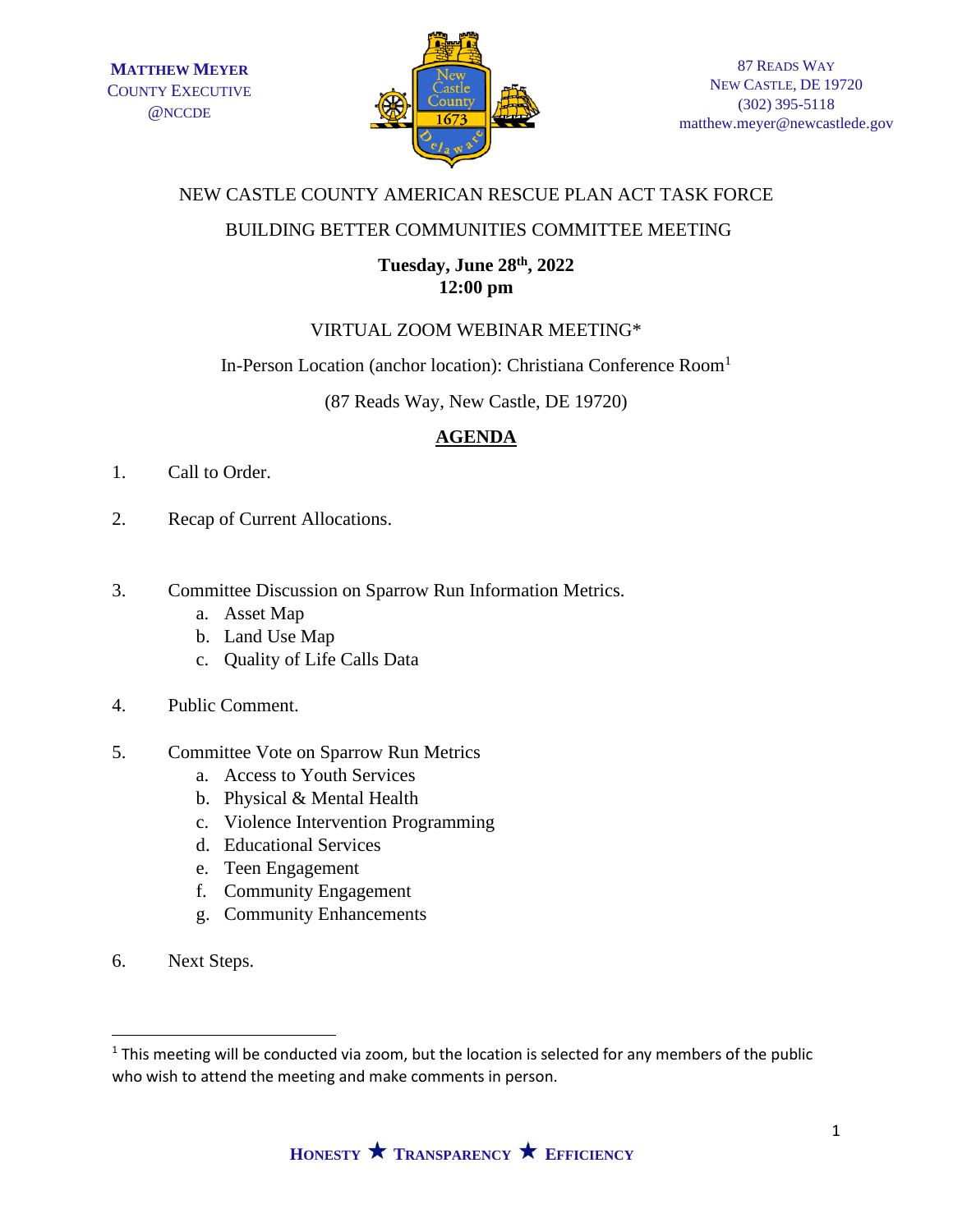

# NEW CASTLE COUNTY AMERICAN RESCUE PLAN ACT TASK FORCE

### BUILDING BETTER COMMUNITIES COMMITTEE MEETING

**Tuesday, June 28 th , 2022 12:00 pm**

## VIRTUAL ZOOM WEBINAR MEETING\*

#### In-Person Location (anchor location): Christiana Conference Room<sup>1</sup>

(87 Reads Way, New Castle, DE 19720)

## **AGENDA**

- 1. Call to Order.
- 2. Recap of Current Allocations.
- 3. Committee Discussion on Sparrow Run Information Metrics.
	- a. Asset Map
	- b. Land Use Map
	- c. Quality of Life Calls Data
- 4. Public Comment.
- 5. Committee Vote on Sparrow Run Metrics
	- a. Access to Youth Services
	- b. Physical & Mental Health
	- c. Violence Intervention Programming
	- d. Educational Services
	- e. Teen Engagement
	- f. Community Engagement
	- g. Community Enhancements
- 6. Next Steps.

 $1$  This meeting will be conducted via zoom, but the location is selected for any members of the public who wish to attend the meeting and make comments in person.